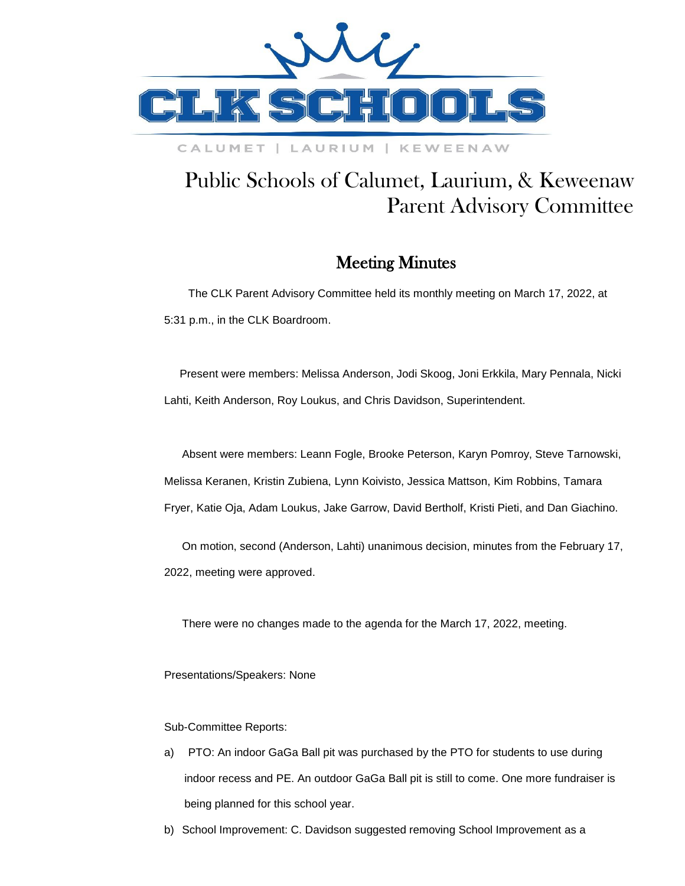

## CALUMET | LAURIUM | KEWEENAW

## Public Schools of Calumet, Laurium, & Keweenaw Parent Advisory Committee

## Meeting Minutes

 The CLK Parent Advisory Committee held its monthly meeting on March 17, 2022, at 5:31 p.m., in the CLK Boardroom.

 Present were members: Melissa Anderson, Jodi Skoog, Joni Erkkila, Mary Pennala, Nicki Lahti, Keith Anderson, Roy Loukus, and Chris Davidson, Superintendent.

Absent were members: Leann Fogle, Brooke Peterson, Karyn Pomroy, Steve Tarnowski, Melissa Keranen, Kristin Zubiena, Lynn Koivisto, Jessica Mattson, Kim Robbins, Tamara Fryer, Katie Oja, Adam Loukus, Jake Garrow, David Bertholf, Kristi Pieti, and Dan Giachino.

On motion, second (Anderson, Lahti) unanimous decision, minutes from the February 17, 2022, meeting were approved.

There were no changes made to the agenda for the March 17, 2022, meeting.

Presentations/Speakers: None

Sub-Committee Reports:

- a) PTO: An indoor GaGa Ball pit was purchased by the PTO for students to use during indoor recess and PE. An outdoor GaGa Ball pit is still to come. One more fundraiser is being planned for this school year.
- b) School Improvement: C. Davidson suggested removing School Improvement as a